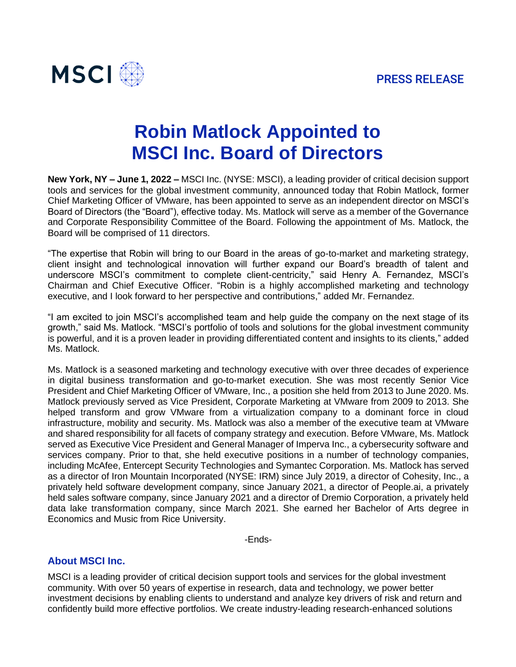

# **Robin Matlock Appointed to MSCI Inc. Board of Directors**

**New York, NY – June 1, 2022 –** MSCI Inc. (NYSE: MSCI), a leading provider of critical decision support tools and services for the global investment community, announced today that Robin Matlock, former Chief Marketing Officer of VMware, has been appointed to serve as an independent director on MSCI's Board of Directors (the "Board"), effective today. Ms. Matlock will serve as a member of the Governance and Corporate Responsibility Committee of the Board. Following the appointment of Ms. Matlock, the Board will be comprised of 11 directors.

"The expertise that Robin will bring to our Board in the areas of go-to-market and marketing strategy, client insight and technological innovation will further expand our Board's breadth of talent and underscore MSCI's commitment to complete client-centricity," said Henry A. Fernandez, MSCI's Chairman and Chief Executive Officer. "Robin is a highly accomplished marketing and technology executive, and I look forward to her perspective and contributions," added Mr. Fernandez.

"I am excited to join MSCI's accomplished team and help guide the company on the next stage of its growth," said Ms. Matlock. "MSCI's portfolio of tools and solutions for the global investment community is powerful, and it is a proven leader in providing differentiated content and insights to its clients," added Ms. Matlock.

Ms. Matlock is a seasoned marketing and technology executive with over three decades of experience in digital business transformation and go-to-market execution. She was most recently Senior Vice President and Chief Marketing Officer of VMware, Inc., a position she held from 2013 to June 2020. Ms. Matlock previously served as Vice President, Corporate Marketing at VMware from 2009 to 2013. She helped transform and grow VMware from a virtualization company to a dominant force in cloud infrastructure, mobility and security. Ms. Matlock was also a member of the executive team at VMware and shared responsibility for all facets of company strategy and execution. Before VMware, Ms. Matlock served as Executive Vice President and General Manager of Imperva Inc., a cybersecurity software and services company. Prior to that, she held executive positions in a number of technology companies, including McAfee, Entercept Security Technologies and Symantec Corporation. Ms. Matlock has served as a director of Iron Mountain Incorporated (NYSE: IRM) since July 2019, a director of Cohesity, Inc., a privately held software development company, since January 2021, a director of People.ai, a privately held sales software company, since January 2021 and a director of Dremio Corporation, a privately held data lake transformation company, since March 2021. She earned her Bachelor of Arts degree in Economics and Music from Rice University.

-Ends-

# **About MSCI Inc.**

MSCI is a leading provider of critical decision support tools and services for the global investment community. With over 50 years of expertise in research, data and technology, we power better investment decisions by enabling clients to understand and analyze key drivers of risk and return and confidently build more effective portfolios. We create industry-leading research-enhanced solutions